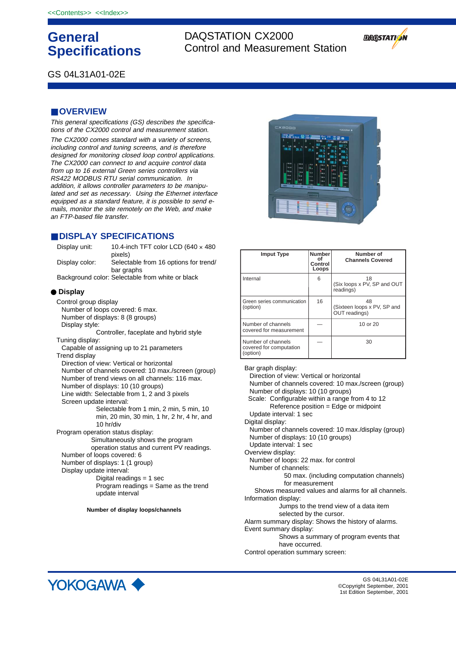# **General Specifications**

DAQSTATION CX2000 Control and Measurement Station



GS 04L31A01-02E

# ■ **OVERVIEW**

This general specifications (GS) describes the specifications of the CX2000 control and measurement station.

The CX2000 comes standard with a variety of screens, including control and tuning screens, and is therefore designed for monitoring closed loop control applications. The CX2000 can connect to and acquire control data from up to 16 external Green series controllers via RS422 MODBUS RTU serial communication. In addition, it allows controller parameters to be manipulated and set as necessary. Using the Ethernet interface equipped as a standard feature, it is possible to send emails, monitor the site remotely on the Web, and make an FTP-based file transfer.

# ■ **DISPLAY SPECIFICATIONS**

| Display unit:                    | 10.4-inch TFT color LCD (640 $\times$ 480<br>pixels) |
|----------------------------------|------------------------------------------------------|
| Display color:                   | Selectable from 16 options for trend/<br>bar graphs  |
|                                  | Background color: Selectable from white or black     |
| $\bullet$ Display                |                                                      |
| Control group display            |                                                      |
|                                  | Number of loops covered: 6 max.                      |
| Number of displays: 8 (8 groups) |                                                      |
| Display style:                   |                                                      |
|                                  | Controller, faceplate and hybrid style               |
| Tuning display:                  |                                                      |
|                                  | Capable of assigning up to 21 parameters             |
| Trend display                    |                                                      |
|                                  | Direction of view: Vertical or horizontal            |
|                                  | Number of channels covered: 10 max./screen (group)   |
|                                  | Number of trend views on all channels: 116 max.      |
|                                  | Number of displays: 10 (10 groups)                   |

Line width: Selectable from 1, 2 and 3 pixels Screen update interval:

Selectable from 1 min, 2 min, 5 min, 10 min, 20 min, 30 min, 1 hr, 2 hr, 4 hr, and 10 hr/div

Program operation status display:

Simultaneously shows the program operation status and current PV readings. Number of loops covered: 6 Number of displays: 1 (1 group) Display update interval: Digital readings = 1 sec

Program readings = Same as the trend update interval

**Number of display loops/channels**



| <b>Imput Type</b>                                         | <b>Number</b><br>οf<br>Control<br>Loops | Number of<br><b>Channels Covered</b>               |
|-----------------------------------------------------------|-----------------------------------------|----------------------------------------------------|
| Internal                                                  | 6                                       | 18<br>(Six loops x PV, SP and OUT<br>readings)     |
| Green series communication<br>(option)                    | 16                                      | 48<br>(Sixteen loops x PV, SP and<br>OUT readings) |
| Number of channels<br>covered for measurement             |                                         | 10 or 20                                           |
| Number of channels<br>covered for computation<br>(option) |                                         | 30                                                 |

Bar graph display: Direction of view: Vertical or horizontal Number of channels covered: 10 max./screen (group) Number of displays: 10 (10 groups) Scale: Configurable within a range from 4 to 12 Reference position = Edge or midpoint Update interval: 1 sec Digital display: Number of channels covered: 10 max./display (group) Number of displays: 10 (10 groups) Update interval: 1 sec Overview display: Number of loops: 22 max. for control Number of channels: 50 max. (including computation channels) for measurement Shows measured values and alarms for all channels. Information display: Jumps to the trend view of a data item selected by the cursor. Alarm summary display: Shows the history of alarms. Event summary display: Shows a summary of program events that have occurred. Control operation summary screen:



GS 04L31A01-02E ©Copyright September, 2001 1st Edition September, 2001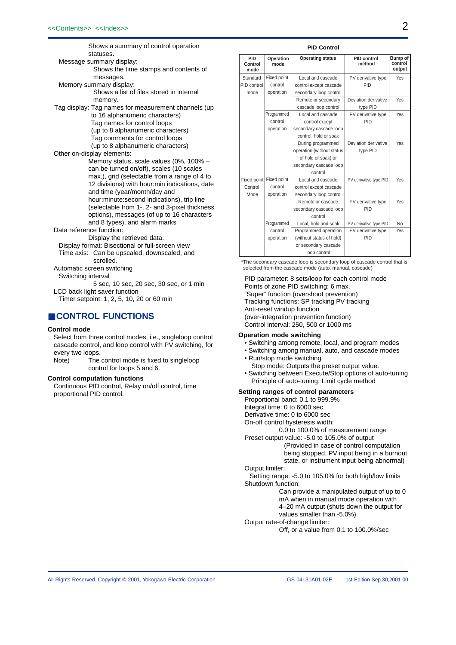Shows a summary of control operation statuses. Message summary display: Shows the time stamps and contents of messages. Memory summary display: Shows a list of files stored in internal memory. Tag display: Tag names for measurement channels (up to 16 alphanumeric characters) Tag names for control loops (up to 8 alphanumeric characters) Tag comments for control loops (up to 8 alphanumeric characters) Other on-display elements: Memory status, scale values (0%, 100% – can be turned on/off), scales (10 scales max.), grid (selectable from a range of 4 to 12 divisions) with hour:min indications, date and time (year/month/day and hour:minute:second indications), trip line (selectable from 1-, 2- and 3-pixel thickness options), messages (of up to 16 characters and 8 types), and alarm marks Data reference function: Display the retrieved data. Display format: Bisectional or full-screen view Time axis: Can be upscaled, downscaled, and scrolled. Automatic screen switching Switching interval 5 sec, 10 sec, 20 sec, 30 sec, or 1 min

LCD back light saver function

Timer setpoint: 1, 2, 5, 10, 20 or 60 min

# ■ **CONTROL FUNCTIONS**

### **Control mode**

Select from three control modes, i.e., singleloop control cascade control, and loop control with PV switching, for every two loops.

Note) The control mode is fixed to singleloop control for loops 5 and 6.

#### **Control computation functions**

Continuous PID control, Relay on/off control, time proportional PID control.

#### **PID Control**

| <b>PID</b><br>Control<br>mode | Operation<br>mode | <b>Operating status</b>   | <b>PID control</b><br>method | <b>Bump of</b><br>control<br>output |
|-------------------------------|-------------------|---------------------------|------------------------------|-------------------------------------|
| Standard                      | Fixed point       | Local and cascade         | PV derivative type           | Yes                                 |
| PID control                   | control           | control except cascade    | PID                          |                                     |
| mode                          | operation         | secondary loop control    |                              |                                     |
|                               |                   | Remote or secondary       | Deviation derivative         | Yes                                 |
|                               |                   | cascade loop control      | type PID                     |                                     |
|                               | Programmed        | Local and cascade         | PV derivative type           | Yes                                 |
|                               | control           | control except            | PID                          |                                     |
|                               | operation         | secondary cascade loop    |                              |                                     |
|                               |                   | control, hold or soak     |                              |                                     |
|                               |                   | During programmed         | Deviation derivative         | Yes                                 |
|                               |                   | operation (without status | type PID                     |                                     |
|                               |                   | of hold or soak) or       |                              |                                     |
|                               |                   | secondary cascade loop    |                              |                                     |
|                               | control           |                           |                              |                                     |
| Fixed point<br>Fixed point    |                   | Local and cascade         | PV derivative type PID       | Yes                                 |
| Control                       | control           | control except cascade    |                              |                                     |
| Mode                          | operation         | secondary loop control    |                              |                                     |
|                               |                   | Remote or cascade         | PV derivative type           | Yes                                 |
|                               |                   | secondary cascade loop    | PID                          |                                     |
|                               |                   | control                   |                              |                                     |
| Programmed                    |                   | Local, hold and soak      | PV derivative type PID       | <b>No</b>                           |
| control                       |                   | Programmed operation      | PV derivative type           | Yes                                 |
|                               | operation         | (without status of hold)  | PID                          |                                     |
|                               |                   | or secondary cascade      |                              |                                     |
|                               |                   | loop control              |                              |                                     |

\*The secondary cascade loop is secondary loop of cascade control that is selected from the cascade mode (auto, manual, cascade)

PID parameter: 8 sets/loop for each control mode Points of zone PID switching: 6 max. "Super" function (overshoot prevention) Tracking functions: SP tracking PV tracking Anti-reset windup function (over-integration prevention function) Control interval: 250, 500 or 1000 ms

#### **Operation mode switching**

• Switching among remote, local, and program modes

- Switching among manual, auto, and cascade modes
- Run/stop mode switching Stop mode: Outputs the preset output value.
- Switching between Execute/Stop options of auto-tuning Principle of auto-tuning: Limit cycle method

### **Setting ranges of control parameters**

Proportional band: 0.1 to 999.9% Integral time: 0 to 6000 sec Derivative time: 0 to 6000 sec

On-off control hysteresis width:

- 0.0 to 100.0% of measurement range
- Preset output value: -5.0 to 105.0% of output (Provided in case of control computation being stopped, PV input being in a burnout state, or instrument input being abnormal)

Output limiter:

Setting range: -5.0 to 105.0% for both high/low limits Shutdown function:

> Can provide a manipulated output of up to 0 mA when in manual mode operation with 4–20 mA output (shuts down the output for values smaller than -5.0%).

Output rate-of-change limiter:

Off, or a value from 0.1 to 100.0%/sec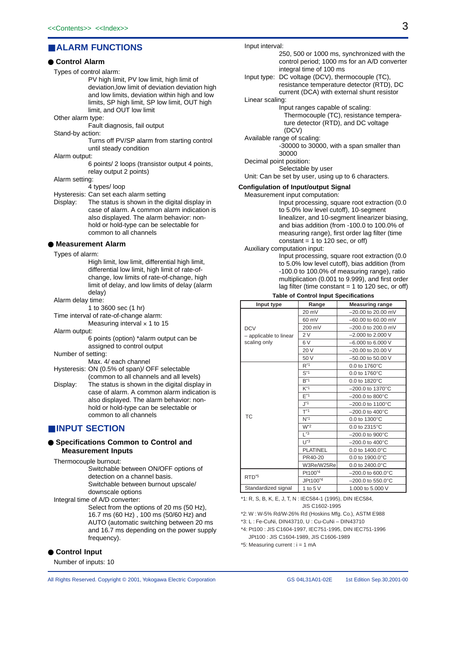# ■ **ALARM FUNCTIONS**

### ● **Control Alarm**

#### Types of control alarm:

PV high limit, PV low limit, high limit of deviation,low limit of deviation deviation high and low limits, deviation within high and low limits, SP high limit, SP low limit, OUT high limit, and OUT low limit

Other alarm type:

Fault diagnosis, fail output

Stand-by action:

Turns off PV/SP alarm from starting control until steady condition

Alarm output:

6 points/ 2 loops (transistor output 4 points, relay output 2 points)

Alarm setting:

4 types/ loop

Hysteresis: Can set each alarm setting

Display: The status is shown in the digital display in case of alarm. A common alarm indication is also displayed. The alarm behavior: nonhold or hold-type can be selectable for common to all channels

### ● **Measurement Alarm**

Types of alarm:

High limit, low limit, differential high limit, differential low limit, high limit of rate-ofchange, low limits of rate-of-change, high limit of delay, and low limits of delay (alarm delay)

Alarm delay time:

1 to 3600 sec (1 hr)

Time interval of rate-of-change alarm:

Measuring interval  $\times$  1 to 15

Alarm output:

6 points (option) \*alarm output can be assigned to control output

Number of setting:

- Max. 4/ each channel Hysteresis: ON (0.5% of span)/ OFF selectable
- (common to all channels and all levels)

Display: The status is shown in the digital display in case of alarm. A common alarm indication is also displayed. The alarm behavior: nonhold or hold-type can be selectable or common to all channels

# ■ **INPUT SECTION**

### ● **Specifications Common to Control and Measurement Inputs**

Thermocouple burnout:

Switchable between ON/OFF options of detection on a channel basis. Switchable between burnout upscale/

downscale options Integral time of A/D converter:

Select from the options of 20 ms (50 Hz), 16.7 ms (60 Hz) , 100 ms (50/60 Hz) and AUTO (automatic switching between 20 ms and 16.7 ms depending on the power supply

frequency).

# ● **Control Input**

Number of inputs: 10

- 250, 500 or 1000 ms, synchronized with the control period; 1000 ms for an A/D converter integral time of 100 ms
- Input type: DC voltage (DCV), thermocouple (TC), resistance temperature detector (RTD), DC current (DCA) with external shunt resistor

Linear scaling:

Input interval:

# Input ranges capable of scaling:

Thermocouple (TC), resistance temperature detector (RTD), and DC voltage (DCV)

Available range of scaling:

-30000 to 30000, with a span smaller than 30000

Decimal point position:

Selectable by user

Unit: Can be set by user, using up to 6 characters.

### **Configulation of Input/output Signal**

Measurement input computation: Input processing, square root extraction (0.0 to 5.0% low level cutoff), 10-segment linealizer, and 10-segment linearizer biasing, and bias addition (from -100.0 to 100.0% of measuring range), first order lag filter (time constant  $= 1$  to 120 sec, or off)

#### Auxiliary computation input:

Input processing, square root extraction (0.0 to 5.0% low level cutoff), bias addition (from -100.0 to 100.0% of measuring range), ratio multiplication (0.001 to 9.999), and first order lag filter (time constant = 1 to 120 sec, or off)

#### **Table of Control Input Specifications**

| Input type             | Range                                                                                                                                                                                                                                                                                                                                                                                                                                                                                                                                                                                                                                                                                                                                                                                                                                                                                    | <b>Measuring range</b> |  |
|------------------------|------------------------------------------------------------------------------------------------------------------------------------------------------------------------------------------------------------------------------------------------------------------------------------------------------------------------------------------------------------------------------------------------------------------------------------------------------------------------------------------------------------------------------------------------------------------------------------------------------------------------------------------------------------------------------------------------------------------------------------------------------------------------------------------------------------------------------------------------------------------------------------------|------------------------|--|
|                        | 20 mV                                                                                                                                                                                                                                                                                                                                                                                                                                                                                                                                                                                                                                                                                                                                                                                                                                                                                    | $-20.00$ to 20.00 mV   |  |
|                        | 60 mV                                                                                                                                                                                                                                                                                                                                                                                                                                                                                                                                                                                                                                                                                                                                                                                                                                                                                    | $-60.00$ to 60.00 mV   |  |
| <b>DCV</b>             | 200 mV<br>$-200.0$ to 200.0 mV<br>2V<br>$-2.000$ to 2.000 V<br>6 V<br>$-6.000$ to 6.000 V<br>20 V<br>$-20.00$ to 20.00 V<br>50 V<br>$-50.00$ to 50.00 V<br>$R^*1$<br>$0.0$ to 1760 $^{\circ}$ C<br>$S^{\star}$ <sup>1</sup><br>$0.0$ to 1760 $^{\circ}$ C<br>$B^*1$<br>$0.0$ to 1820 $^{\circ}$ C<br>$K^*1$<br>$-200.0$ to 1370 $^{\circ}$ C<br>$F^*1$<br>$-200.0$ to 800 $^{\circ}$ C<br>$J^{\star}$ 1<br>$-200.0$ to 1100 $^{\circ}$ C<br>$T^*1$<br>$-200.0$ to 400 $^{\circ}$ C<br>$N^*1$<br>$0.0$ to 1300 $^{\circ}$ C<br>$W^2$<br>$0.0$ to $2315^{\circ}$ C<br>$1*3$<br>$-200.0$ to 900 $^{\circ}$ C<br>$U^*3$<br>$-200.0$ to $400^{\circ}$ C<br><b>PLATINEL</b><br>$0.0$ to 1400.0 $^{\circ}$ C<br>PR40-20<br>$0.0$ to 1900.0 $^{\circ}$ C<br>W3Re/W25Re<br>0.0 to 2400.0 $^{\circ}$ C<br>Pt100*4<br>$-200.0$ to 600.0 $^{\circ}$ C<br>JPt100 <sup>*4</sup><br>$-200.0$ to 550.0°C |                        |  |
| - applicable to linear |                                                                                                                                                                                                                                                                                                                                                                                                                                                                                                                                                                                                                                                                                                                                                                                                                                                                                          |                        |  |
| scaling only           |                                                                                                                                                                                                                                                                                                                                                                                                                                                                                                                                                                                                                                                                                                                                                                                                                                                                                          |                        |  |
|                        |                                                                                                                                                                                                                                                                                                                                                                                                                                                                                                                                                                                                                                                                                                                                                                                                                                                                                          |                        |  |
|                        |                                                                                                                                                                                                                                                                                                                                                                                                                                                                                                                                                                                                                                                                                                                                                                                                                                                                                          |                        |  |
|                        |                                                                                                                                                                                                                                                                                                                                                                                                                                                                                                                                                                                                                                                                                                                                                                                                                                                                                          |                        |  |
|                        |                                                                                                                                                                                                                                                                                                                                                                                                                                                                                                                                                                                                                                                                                                                                                                                                                                                                                          |                        |  |
|                        |                                                                                                                                                                                                                                                                                                                                                                                                                                                                                                                                                                                                                                                                                                                                                                                                                                                                                          |                        |  |
|                        |                                                                                                                                                                                                                                                                                                                                                                                                                                                                                                                                                                                                                                                                                                                                                                                                                                                                                          |                        |  |
|                        |                                                                                                                                                                                                                                                                                                                                                                                                                                                                                                                                                                                                                                                                                                                                                                                                                                                                                          |                        |  |
|                        |                                                                                                                                                                                                                                                                                                                                                                                                                                                                                                                                                                                                                                                                                                                                                                                                                                                                                          |                        |  |
|                        |                                                                                                                                                                                                                                                                                                                                                                                                                                                                                                                                                                                                                                                                                                                                                                                                                                                                                          |                        |  |
| ТC                     |                                                                                                                                                                                                                                                                                                                                                                                                                                                                                                                                                                                                                                                                                                                                                                                                                                                                                          |                        |  |
|                        |                                                                                                                                                                                                                                                                                                                                                                                                                                                                                                                                                                                                                                                                                                                                                                                                                                                                                          |                        |  |
|                        |                                                                                                                                                                                                                                                                                                                                                                                                                                                                                                                                                                                                                                                                                                                                                                                                                                                                                          |                        |  |
|                        |                                                                                                                                                                                                                                                                                                                                                                                                                                                                                                                                                                                                                                                                                                                                                                                                                                                                                          |                        |  |
|                        |                                                                                                                                                                                                                                                                                                                                                                                                                                                                                                                                                                                                                                                                                                                                                                                                                                                                                          |                        |  |
|                        |                                                                                                                                                                                                                                                                                                                                                                                                                                                                                                                                                                                                                                                                                                                                                                                                                                                                                          |                        |  |
|                        |                                                                                                                                                                                                                                                                                                                                                                                                                                                                                                                                                                                                                                                                                                                                                                                                                                                                                          |                        |  |
| RTD <sup>*5</sup>      |                                                                                                                                                                                                                                                                                                                                                                                                                                                                                                                                                                                                                                                                                                                                                                                                                                                                                          |                        |  |
|                        |                                                                                                                                                                                                                                                                                                                                                                                                                                                                                                                                                                                                                                                                                                                                                                                                                                                                                          |                        |  |
| Standardized signal    | 1 to $5V$                                                                                                                                                                                                                                                                                                                                                                                                                                                                                                                                                                                                                                                                                                                                                                                                                                                                                | 1.000 to 5.000 V       |  |

\*1: R, S, B, K, E, J, T, N : IEC584-1 (1995), DIN IEC584, JIS C1602-1995

\*2: W : W-5% Rd/W-26% Rd (Hoskins Mfg. Co.), ASTM E988

\*3: L : Fe-CuNi, DIN43710, U : Cu-CuNi – DIN43710

\*4: Pt100 : JIS C1604-1997, IEC751-1995, DIN IEC751-1996 JPt100 : JIS C1604-1989, JIS C1606-1989

\*5: Measuring current : i = 1 mA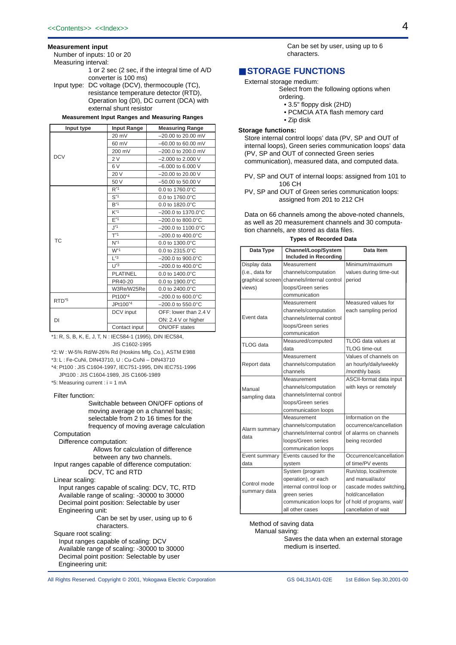#### **Measurement input**

Number of inputs: 10 or 20

Measuring interval:

1 or 2 sec (2 sec, if the integral time of A/D converter is 100 ms)

Input type: DC voltage (DCV), thermocouple (TC), resistance temperature detector (RTD), Operation log (DI), DC current (DCA) with external shunt resistor

#### **Measurement Input Ranges and Measuring Ranges**

| Input type        | <b>Input Range</b>  | <b>Measuring Range</b>                                                                                                                                                                                                                                                                                                                                                                                                                                                                                                                                                                                                                                                       |
|-------------------|---------------------|------------------------------------------------------------------------------------------------------------------------------------------------------------------------------------------------------------------------------------------------------------------------------------------------------------------------------------------------------------------------------------------------------------------------------------------------------------------------------------------------------------------------------------------------------------------------------------------------------------------------------------------------------------------------------|
|                   | 20 mV               | $-20.00$ to 20.00 mV                                                                                                                                                                                                                                                                                                                                                                                                                                                                                                                                                                                                                                                         |
|                   | 60 mV               | -60.00 to 60.00 mV                                                                                                                                                                                                                                                                                                                                                                                                                                                                                                                                                                                                                                                           |
|                   | 200 mV              | -200.0 to 200.0 mV<br>$-2.000$ to 2.000 V<br>$-6.000$ to 6.000 V<br>$-20.00$ to 20.00 V<br>-50.00 to 50.00 V<br>0.0 to 1760.0°C<br>0.0 to 1760.0°C<br>0.0 to 1820.0°C<br>$-200.0$ to 1370.0 $^{\circ}$ C<br>$-200.0$ to 800.0 $^{\circ}$ C<br>$-200.0$ to 1100.0 $^{\circ}$ C<br>$-200.0$ to 400.0 $^{\circ}$ C<br>$N^*$ <sup>1</sup><br>0.0 to 1300.0°C<br>0.0 to 2315.0°C<br>$-200.0$ to 900.0 $^{\circ}$ C<br>$-200.0$ to 400.0 $^{\circ}$ C<br>0.0 to 1400.0°C<br>PR40-20<br>$0.0$ to 1900.0 $^{\circ}$ C<br>0.0 to 2400.0°C<br>$-200.0$ to 600.0 $^{\circ}$ C<br>$-200.0$ to 550.0 $^{\circ}$ C<br>OFF: lower than 2.4 V<br>ON: 2.4 V or higher<br><b>ON/OFF</b> states |
| <b>DCV</b>        | 2V                  |                                                                                                                                                                                                                                                                                                                                                                                                                                                                                                                                                                                                                                                                              |
|                   | 6V                  |                                                                                                                                                                                                                                                                                                                                                                                                                                                                                                                                                                                                                                                                              |
|                   | 20 V                |                                                                                                                                                                                                                                                                                                                                                                                                                                                                                                                                                                                                                                                                              |
|                   | 50 V                |                                                                                                                                                                                                                                                                                                                                                                                                                                                                                                                                                                                                                                                                              |
|                   | $R^*1$              |                                                                                                                                                                                                                                                                                                                                                                                                                                                                                                                                                                                                                                                                              |
|                   | $S^{\star}1$        |                                                                                                                                                                                                                                                                                                                                                                                                                                                                                                                                                                                                                                                                              |
|                   | $B^*1$              |                                                                                                                                                                                                                                                                                                                                                                                                                                                                                                                                                                                                                                                                              |
|                   | $K^{\ast}1$         |                                                                                                                                                                                                                                                                                                                                                                                                                                                                                                                                                                                                                                                                              |
|                   | $F^*1$              |                                                                                                                                                                                                                                                                                                                                                                                                                                                                                                                                                                                                                                                                              |
|                   | $J^*1$              |                                                                                                                                                                                                                                                                                                                                                                                                                                                                                                                                                                                                                                                                              |
|                   | $T^*1$              |                                                                                                                                                                                                                                                                                                                                                                                                                                                                                                                                                                                                                                                                              |
| <b>TC</b>         |                     |                                                                                                                                                                                                                                                                                                                                                                                                                                                                                                                                                                                                                                                                              |
|                   | $W^*1$              |                                                                                                                                                                                                                                                                                                                                                                                                                                                                                                                                                                                                                                                                              |
|                   | $\mathsf{I}^*$ 3    |                                                                                                                                                                                                                                                                                                                                                                                                                                                                                                                                                                                                                                                                              |
|                   | $1^*3$              |                                                                                                                                                                                                                                                                                                                                                                                                                                                                                                                                                                                                                                                                              |
|                   | <b>PLATINEL</b>     |                                                                                                                                                                                                                                                                                                                                                                                                                                                                                                                                                                                                                                                                              |
|                   |                     |                                                                                                                                                                                                                                                                                                                                                                                                                                                                                                                                                                                                                                                                              |
|                   | W3Re/W25Re          |                                                                                                                                                                                                                                                                                                                                                                                                                                                                                                                                                                                                                                                                              |
| RTD <sup>*5</sup> | Pt100 <sup>*4</sup> |                                                                                                                                                                                                                                                                                                                                                                                                                                                                                                                                                                                                                                                                              |
|                   | JPt100*4            |                                                                                                                                                                                                                                                                                                                                                                                                                                                                                                                                                                                                                                                                              |
|                   | DCV input           |                                                                                                                                                                                                                                                                                                                                                                                                                                                                                                                                                                                                                                                                              |
| DI                |                     |                                                                                                                                                                                                                                                                                                                                                                                                                                                                                                                                                                                                                                                                              |
|                   | Contact input       |                                                                                                                                                                                                                                                                                                                                                                                                                                                                                                                                                                                                                                                                              |

\*1: R, S, B, K, E, J, T, N : IEC584-1 (1995), DIN IEC584, JIS C1602-1995

\*2: W : W-5% Rd/W-26% Rd (Hoskins Mfg. Co.), ASTM E988

\*3: L : Fe-CuNi, DIN43710, U : Cu-CuNi – DIN43710

- \*4: Pt100 : JIS C1604-1997, IEC751-1995, DIN IEC751-1996 JPt100 : JIS C1604-1989, JIS C1606-1989
- \*5: Measuring current : i = 1 mA

#### Filter function:

Switchable between ON/OFF options of moving average on a channel basis; selectable from 2 to 16 times for the frequency of moving average calculation

Computation

Difference computation: Allows for calculation of difference between any two channels.

Input ranges capable of difference computation: DCV, TC and RTD

Linear scaling:

Input ranges capable of scaling: DCV, TC, RTD Available range of scaling: -30000 to 30000 Decimal point position: Selectable by user Engineering unit:

Can be set by user, using up to 6 characters.

Square root scaling:

Input ranges capable of scaling: DCV Available range of scaling: -30000 to 30000 Decimal point position: Selectable by user Engineering unit:

All Rights Reserved. Copyright © 2001, Yokogawa Electric Corporation

Can be set by user, using up to 6 characters.

# ■ **STORAGE FUNCTIONS**

External storage medium:

- Select from the following options when
	- ordering.
	- 3.5" floppy disk (2HD)
	- PCMCIA ATA flash memory card
- Zip disk

### **Storage functions:**

Store internal control loops' data (PV, SP and OUT of internal loops), Green series communication loops' data (PV, SP and OUT of connected Green series communication), measured data, and computed data.

- PV, SP and OUT of internal loops: assigned from 101 to 106 CH
- PV, SP and OUT of Green series communication loops: assigned from 201 to 212 CH

Data on 66 channels among the above-noted channels, as well as 20 measurement channels and 30 computation channels, are stored as data files.

#### **Types of Recorded Data**

| Data Type                    | Channel/Loop/System          | Data Item                  |
|------------------------------|------------------------------|----------------------------|
|                              | <b>Included in Recording</b> |                            |
| Display data                 | Measurement                  | Minimum/maximum            |
| (i.e., data for              | channels/computation         | values during time-out     |
| graphical screen             | channels/internal control    | period                     |
| views)                       | loops/Green series           |                            |
|                              | communication                |                            |
|                              | Measurement                  | Measured values for        |
|                              | channels/computation         | each sampling period       |
| Event data                   | channels/internal control    |                            |
|                              | loops/Green series           |                            |
|                              | communication                |                            |
| TLOG data                    | Measured/computed            | TLOG data values at        |
|                              | data                         | TLOG time-out              |
|                              | Measurement                  | Values of channels on      |
| Report data                  | channels/computation         | an hourly/daily/weekly     |
|                              | channels                     | /monthly basis             |
|                              | Measurement                  | ASCII-format data input    |
| Manual                       | channels/computation         | with keys or remotely      |
| sampling data                | channels/internal control    |                            |
|                              | loops/Green series           |                            |
|                              | communication loops          |                            |
|                              | Measurement                  | Information on the         |
| Alarm summary                | channels/computation         | occurrence/cancellation    |
| data                         | channels/internal control    | of alarms on channels      |
|                              | loops/Green series           | being recorded             |
|                              | communication loops          |                            |
| Event summary                | Events caused for the        | Occurrence/cancellation    |
| data                         | system                       | of time/PV events          |
|                              | System (program              | Run/stop, local/remote     |
|                              | operation), or each          | and manual/auto/           |
| Control mode<br>summary data | internal control loop or     | cascade modes switching,   |
|                              | green series                 | hold/cancellation          |
|                              | communication loops for      | of hold of programs, wait/ |
|                              | all other cases              | cancellation of wait       |

Method of saving data Manual saving:

Saves the data when an external storage medium is inserted.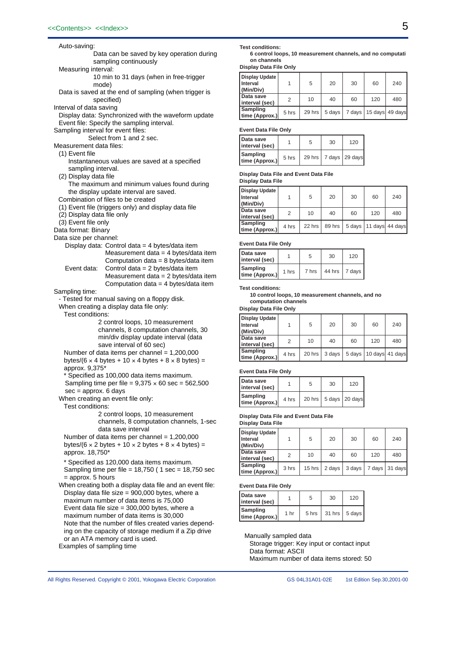| Auto-saving:                       |                                                                                                                         |
|------------------------------------|-------------------------------------------------------------------------------------------------------------------------|
|                                    | Data can be saved by key operation during                                                                               |
|                                    | sampling continuously                                                                                                   |
| Measuring interval:                |                                                                                                                         |
|                                    | 10 min to 31 days (when in free-trigger                                                                                 |
|                                    | mode)                                                                                                                   |
|                                    | Data is saved at the end of sampling (when trigger is<br>specified)                                                     |
| Interval of data saving            |                                                                                                                         |
|                                    | Display data: Synchronized with the waveform update                                                                     |
|                                    | Event file: Specify the sampling interval.                                                                              |
| Sampling interval for event files: |                                                                                                                         |
|                                    | Select from 1 and 2 sec.                                                                                                |
| Measurement data files:            |                                                                                                                         |
| (1) Event file                     | Instantaneous values are saved at a specified                                                                           |
| sampling interval.                 |                                                                                                                         |
| (2) Display data file              |                                                                                                                         |
|                                    | The maximum and minimum values found during                                                                             |
|                                    | the display update interval are saved.                                                                                  |
|                                    | Combination of files to be created                                                                                      |
| (2) Display data file only         | (1) Event file (triggers only) and display data file                                                                    |
| (3) Event file only                |                                                                                                                         |
| Data format: Binary                |                                                                                                                         |
| Data size per channel:             |                                                                                                                         |
|                                    | Display data: Control data = 4 bytes/data item                                                                          |
|                                    | Measurement data = 4 bytes/data item                                                                                    |
|                                    | Computation data = 8 bytes/data item                                                                                    |
| Event data:                        | Control data = 2 bytes/data item<br>Measurement data = $2$ bytes/data item                                              |
|                                    |                                                                                                                         |
|                                    |                                                                                                                         |
|                                    | Computation data = 4 bytes/data item                                                                                    |
| Sampling time:                     | - Tested for manual saving on a floppy disk.                                                                            |
|                                    | When creating a display data file only:                                                                                 |
| Test conditions:                   |                                                                                                                         |
|                                    | 2 control loops, 10 measurement                                                                                         |
|                                    | channels, 8 computation channels, 30                                                                                    |
|                                    | min/div display update interval (data                                                                                   |
|                                    | save interval of 60 sec)                                                                                                |
|                                    | Number of data items per channel = 1,200,000<br>bytes/(6 $\times$ 4 bytes + 10 $\times$ 4 bytes + 8 $\times$ 8 bytes) = |
| approx. 9,375*                     |                                                                                                                         |
|                                    | * Specified as 100,000 data items maximum.                                                                              |
|                                    | Sampling time per file = $9,375 \times 60$ sec = 562,500                                                                |
| $sec =$ approx. 6 days             |                                                                                                                         |
|                                    | When creating an event file only:                                                                                       |
| Test conditions:                   | 2 control loops, 10 measurement                                                                                         |
|                                    | channels, 8 computation channels, 1-sec                                                                                 |
|                                    | data save interval                                                                                                      |
|                                    | Number of data items per channel = $1,200,000$                                                                          |
|                                    | bytes/(6 $\times$ 2 bytes + 10 $\times$ 2 bytes + 8 $\times$ 4 bytes) =                                                 |
| approx. 18,750*                    |                                                                                                                         |
|                                    | * Specified as 120,000 data items maximum.                                                                              |
|                                    | Sampling time per file = $18,750$ (1 sec = $18,750$ sec                                                                 |
| = approx. 5 hours                  | When creating both a display data file and an event file:                                                               |
|                                    | Display data file size = 900,000 bytes, where a                                                                         |
|                                    | maximum number of data items is 75,000                                                                                  |
|                                    | Event data file size = $300,000$ bytes, where a                                                                         |
|                                    | maximum number of data items is 30,000<br>Note that the number of files created varies depend-                          |

# ing on the capacity of storage medium if a Zip drive or an ATA memory card is used.

Examples of sampling time

#### **Test conditions:**

 **6 control loops, 10 measurement channels, and no computati on channels**

**Display Data File Only**

| <b>Display Update</b><br>Interval<br>(Min/Div) |       | 5      | 20     | 30     | 60  | 240             |
|------------------------------------------------|-------|--------|--------|--------|-----|-----------------|
| Data save<br>interval (sec)                    | 2     | 10     | 40     | 60     | 120 | 480             |
| Sampling<br>time (Approx.)                     | 5 hrs | 29 hrs | 5 days | 7 days |     | 15 days 49 days |

**Event Data File Only**

| Data save<br>interval (sec) |       | 5 | 30                        | 120 |
|-----------------------------|-------|---|---------------------------|-----|
| Sampling<br>time (Approx.)  | 5 hrs |   | 29 hrs   7 days   29 days |     |

#### **Display Data File and Event Data File**

**Display Data File**

| <b>Display Update</b><br>Interval<br>(Min/Div) |       | 5      | 20     | 30 | 60                       | 240 |
|------------------------------------------------|-------|--------|--------|----|--------------------------|-----|
| Data save<br>interval (sec)                    | 2     | 10     | 40     | 60 | 120                      | 480 |
| Sampling<br>time (Approx.)                     | 4 hrs | 22 hrs | 89 hrs |    | 5 days   11 days 44 days |     |

### **Event Data File Only**

| Data save<br>interval (sec)       |       | 5     | 30 | 120                   |
|-----------------------------------|-------|-------|----|-----------------------|
| <b>Sampling</b><br>time (Approx.) | 1 hrs | 7 hrs |    | 44 hrs $\vert$ 7 days |

#### **Test conditions:**

 **10 control loops, 10 measurement channels, and no computation channels**

**Display Data File Only**

| Display Update<br>l Interval<br>(Min/Div) |       | 5      | 20     | 30 | 60  | 240                      |
|-------------------------------------------|-------|--------|--------|----|-----|--------------------------|
| l Data save<br>interval (sec)             | 2     | 10     | 40     | 60 | 120 | 480                      |
| Sampling<br>time (Approx.)                | 4 hrs | 20 hrs | 3 days |    |     | 5 days   10 days 41 days |

#### **Event Data File Only**

| Data save<br>interval (sec) |       | 5 | 30                                    | 120 |
|-----------------------------|-------|---|---------------------------------------|-----|
| Sampling<br>time (Approx.)  | 4 hrs |   | 20 hrs $\vert$ 5 days $\vert$ 20 days |     |

# **Display Data File and Event Data File**

**Display Data File**

| Display Update<br>Interval<br>(Min/Div) |       | 5        | 20     | 30     | 60  | 240            |
|-----------------------------------------|-------|----------|--------|--------|-----|----------------|
| Data save<br>interval (sec)             | 2     | 10       | 40     | 60     | 120 | 480            |
| Sampling<br>time (Approx.)              | 3 hrs | $15$ hrs | 2 days | 3 days |     | 7 days 31 days |

#### **Event Data File Only**

| Data save<br>interval (sec) |      | 5     | 30 | 120                     |
|-----------------------------|------|-------|----|-------------------------|
| Sampling<br>time (Approx.)  | 1 hr | 5 hrs |    | $31$ hrs $\vert 5$ days |

Manually sampled data

Storage trigger: Key input or contact input Data format: ASCII

Maximum number of data items stored: 50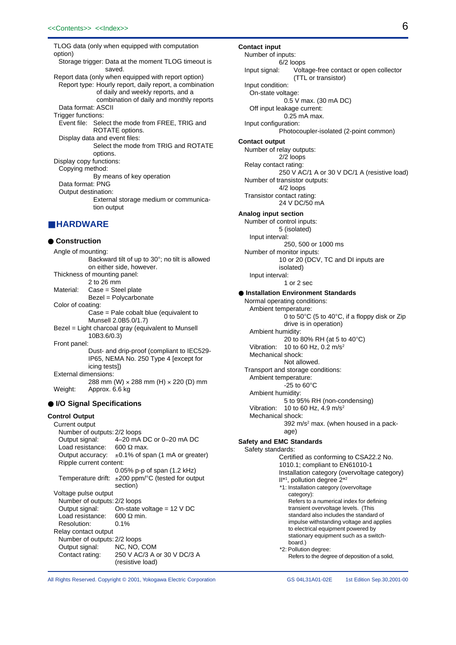TLOG data (only when equipped with computation option) Storage trigger: Data at the moment TLOG timeout is saved. Report data (only when equipped with report option) Report type: Hourly report, daily report, a combination of daily and weekly reports, and a combination of daily and monthly reports Data format: ASCII Trigger functions: Event file: Select the mode from FREE, TRIG and ROTATE options. Display data and event files: Select the mode from TRIG and ROTATE options. Display copy functions: Copying method: By means of key operation Data format: PNG Output destination: External storage medium or communication output

# ■ **HARDWARE**

● **Construction** Angle of mounting: Backward tilt of up to 30°; no tilt is allowed on either side, however. Thickness of mounting panel: 2 to 26 mm Material: Case = Steel plate Bezel = Polycarbonate Color of coating: Case = Pale cobalt blue (equivalent to Munsell 2.0B5.0/1.7) Bezel = Light charcoal gray (equivalent to Munsell 10B3.6/0.3) Front panel: Dust- and drip-proof (compliant to IEC529- IP65, NEMA No. 250 Type 4 [except for icing tests]) External dimensions: 288 mm (W) × 288 mm (H) × 220 (D) mm Weight: Approx. 6.6 kg

# ● **I/O Signal Specifications**

# **Control Output**

Current output Number of outputs: 2/2 loops Output signal: 4–20 mA DC or 0–20 mA DC Load resistance: 600  $\Omega$  max.<br>Output accuracy:  $\pm 0.1\%$  of sp  $±0.1\%$  of span (1 mA or greater) Ripple current content: 0.05% p-p of span (1.2 kHz) Temperature drift:  $\pm 200$  ppm/°C (tested for output section) Voltage pulse output Number of outputs: 2/2 loops<br>Output signal: On-state On-state voltage =  $12$  V DC Load resistance:  $600 \Omega$  min.<br>Resolution:  $0.1\%$ Resolution: Relay contact output Number of outputs: 2/2 loops Output signal: NC, NO, COM Contact rating: 250 V AC/3 A or 30 V DC/3 A (resistive load)

Number of inputs: 6/2 loops Input signal: Voltage-free contact or open collector (TTL or transistor) Input condition: On-state voltage: 0.5 V max. (30 mA DC) Off input leakage current: 0.25 mA max. Input configuration: Photocoupler-isolated (2-point common) **Contact output** Number of relay outputs: 2/2 loops Relay contact rating: 250 V AC/1 A or 30 V DC/1 A (resistive load) Number of transistor outputs: 4/2 loops Transistor contact rating: 24 V DC/50 mA **Analog input section** Number of control inputs: 5 (isolated) Input interval: 250, 500 or 1000 ms Number of monitor inputs: 10 or 20 (DCV, TC and DI inputs are isolated) Input interval: 1 or 2 sec ● **Installation Environment Standards** Normal operating conditions: Ambient temperature: 0 to 50°C (5 to 40°C, if a floppy disk or Zip drive is in operation) Ambient humidity: 20 to 80% RH (at 5 to 40°C) Vibration: 10 to 60 Hz,  $0.\overline{2}$  m/s<sup>2</sup> Mechanical shock: Not allowed. Transport and storage conditions: Ambient temperature:  $-25$  to  $60^{\circ}$ C Ambient humidity: 5 to 95% RH (non-condensing) Vibration:  $10$  to 60 Hz,  $4.9$  m/s<sup>2</sup> Mechanical shock: 392 m/s<sup>2</sup> max. (when housed in a package) **Safety and EMC Standards** Safety standards: Certified as conforming to CSA22.2 No. 1010.1; compliant to EN61010-1 Installation category (overvoltage category) II<sup>\*1</sup>, pollution degree 2<sup>\*2</sup> \*1: Installation category (overvoltage category): Refers to a numerical index for defining transient overvoltage levels. (This standard also includes the standard of impulse withstanding voltage and applies to electrical equipment powered by stationary equipment such as a switchboard.) \*2: Pollution degree: Refers to the degree of deposition of a solid,

All Rights Reserved. Copyright © 2001, Yokogawa Electric Corporation

GS 04L31A01-02E 1st Edition Sep.30,2001-00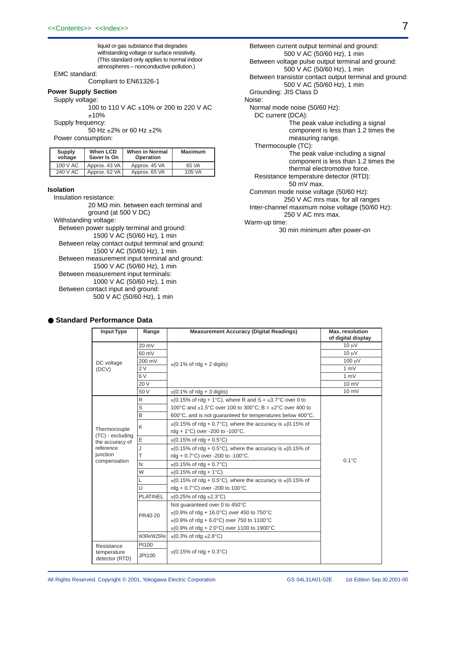liquid or gas substance that degrades withstanding voltage or surface resistivity. (This standard only applies to normal indoor atmospheres – nonconductive pollution.)

# EMC standard:

Compliant to EN61326-1

#### **Power Supply Section**

#### Supply voltage:

100 to 110 V AC ±10% or 200 to 220 V AC ±10%

Supply frequency:

50 Hz ±2% or 60 Hz ±2%

Power consumption:

| Supply<br>voltage | When LCD<br>When in Normal<br>Saver Is On<br><b>Operation</b> |               | Maximum |
|-------------------|---------------------------------------------------------------|---------------|---------|
| 100 V AC          | Approx. 43 VA                                                 | Approx. 45 VA | 65 VA   |
| 240 V AC          | Approx. 62 VA                                                 | Approx. 65 VA | 105 VA  |

#### **Isolation**

Insulation resistance: 20 MΩ min. between each terminal and ground (at 500 V DC) Withstanding voltage: Between power supply terminal and ground: 1500 V AC (50/60 Hz), 1 min Between relay contact output terminal and ground: 1500 V AC (50/60 Hz), 1 min Between measurement input terminal and ground: 1500 V AC (50/60 Hz), 1 min Between measurement input terminals: 1000 V AC (50/60 Hz), 1 min Between contact input and ground: 500 V AC (50/60 Hz), 1 min

#### Between current output terminal and ground: 500 V AC (50/60 Hz), 1 min Between voltage pulse output terminal and ground: 500 V AC (50/60 Hz), 1 min Between transistor contact output terminal and ground: 500 V AC (50/60 Hz), 1 min Grounding: JIS Class D Noise: Normal mode noise (50/60 Hz): DC current (DCA): The peak value including a signal component is less than 1.2 times the measuring range. Thermocouple (TC): The peak value including a signal component is less than 1.2 times the thermal electromotive force. Resistance temperature detector (RTD): 50 mV max. Common mode noise voltage (50/60 Hz): 250 V AC mrs max. for all ranges Inter-channel maximum noise voltage (50/60 Hz): 250 V AC mrs max. Warm-up time:

30 min minimum after power-on

| <b>Input Type</b>                   | Range                                          | <b>Measurement Accuracy (Digital Readings)</b>                      | Max. resolution<br>of digital display |
|-------------------------------------|------------------------------------------------|---------------------------------------------------------------------|---------------------------------------|
|                                     | 20 mV                                          |                                                                     | $10 \mu V$                            |
|                                     | 60 mV                                          |                                                                     | $10 \mu V$                            |
| DC voltage                          | 200 mV                                         | $\pm$ (0.1% of rdg + 2 digits)                                      | 100 µV                                |
| (DCV)                               | 2V                                             |                                                                     | 1 mV                                  |
|                                     | 6V                                             |                                                                     | 1 mV                                  |
|                                     | 20 V                                           |                                                                     | $10 \text{ mV}$                       |
|                                     | 50 V                                           | $\pm$ (0.1% of rdg + 3 digits)                                      | 10 mV                                 |
|                                     | R                                              | $\pm$ (0.15% of rdg + 1°C), where R and S = $\pm$ 3.7°C over 0 to   |                                       |
|                                     | S                                              | 100°C and $\pm$ 1.5°C over 100 to 300°C; B = $\pm$ 2°C over 400 to  |                                       |
|                                     | B                                              | 600°C, and is not guaranteed for temperatures below 400°C.          |                                       |
|                                     | K                                              | $\pm$ (0.15% of rdg + 0.7°C), where the accuracy is $\pm$ (0.15% of |                                       |
| Thermocouple                        |                                                | rdg + 1°C) over -200 to -100°C.                                     |                                       |
| (TC) - excluding<br>the accuracy of | E                                              | $\pm (0.15\% \text{ of } \text{r}) + 0.5\degree C$                  |                                       |
| reference                           | J                                              | $\pm$ (0.15% of rdg + 0.5°C), where the accuracy is $\pm$ (0.15% of |                                       |
| junction                            | T                                              | rdg + $0.7^{\circ}$ C) over -200 to -100 $^{\circ}$ C.              | $0.1^{\circ}$ C                       |
| compensation                        | N                                              | $\pm (0.15\% \text{ of } \text{rdq} + 0.7\degree \text{C})$         |                                       |
|                                     | W                                              | $\pm$ (0.15% of rdg + 1°C)                                          |                                       |
|                                     | L                                              | $\pm$ (0.15% of rdg + 0.5°C), where the accuracy is $\pm$ (0.15% of |                                       |
|                                     | U                                              | rdg + $0.7^{\circ}$ C) over -200 to 100 $^{\circ}$ C.               |                                       |
|                                     | <b>PLATINEL</b>                                | $\pm (0.25\% \text{ of }$ rdg $\pm 2.3^{\circ}$ C)                  |                                       |
|                                     |                                                | Not quaranteed over 0 to 450°C                                      |                                       |
|                                     | PR40-20                                        | $\pm$ (0.9% of rdg + 16.0°C) over 450 to 750°C                      |                                       |
|                                     | $\pm$ (0.9% of rdg + 6.0°C) over 750 to 1100°C |                                                                     |                                       |
|                                     |                                                | $\pm$ (0.9% of rdg + 2.0°C) over 1100 to 1900°C                     |                                       |
|                                     | W3Re/W25Re                                     | $\pm (0.3\% \text{ of }$ rdq $\pm 2.8\degree$ C)                    |                                       |
| Resistance                          | Pt100                                          |                                                                     |                                       |
| temperature<br>detector (RTD)       | JPt100                                         | $\pm$ (0.15% of rdg + 0.3°C)                                        |                                       |

# ● **Standard Performance Data**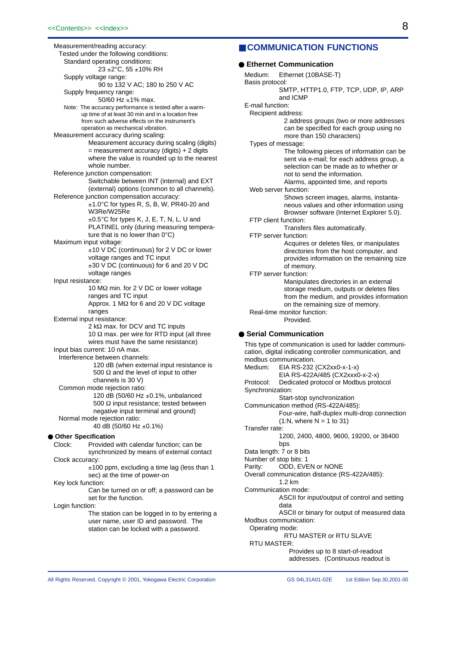Measurement/reading accuracy: Tested under the following conditions: Standard operating conditions:  $23 \pm 2^{\circ}$ C, 55  $\pm$ 10% RH Supply voltage range: 90 to 132 V AC; 180 to 250 V AC Supply frequency range: 50/60 Hz ±1% max. Note: The accuracy performance is tested after a warmup time of at least 30 min and in a location free from such adverse effects on the instrument's operation as mechanical vibration. Measurement accuracy during scaling: Measurement accuracy during scaling (digits) = measurement accuracy (digits) + 2 digits where the value is rounded up to the nearest whole number. Reference junction compensation: Switchable between INT (internal) and EXT (external) options (common to all channels). Reference junction compensation accuracy: ±1.0°C for types R, S, B, W, PR40-20 and W3Re/W25Re ±0.5°C for types K, J, E, T, N, L, U and PLATINEL only (during measuring temperature that is no lower than 0°C) Maximum input voltage: ±10 V DC (continuous) for 2 V DC or lower voltage ranges and TC input ±30 V DC (continuous) for 6 and 20 V DC voltage ranges Input resistance: 10 MΩ min. for 2 V DC or lower voltage ranges and TC input Approx. 1 MΩ for 6 and 20 V DC voltage ranges External input resistance: 2 kΩ max. for DCV and TC inputs 10 Ω max. per wire for RTD input (all three wires must have the same resistance) Input bias current: 10 nA max. Interference between channels: 120 dB (when external input resistance is 500  $\Omega$  and the level of input to other channels is 30 V) Common mode rejection ratio: 120 dB (50/60 Hz  $\pm$ 0.1%, unbalanced 500 Ω input resistance; tested between negative input terminal and ground) Normal mode rejection ratio: 40 dB (50/60 Hz ±0.1%) ● **Other Specification** Clock: Provided with calendar function; can be synchronized by means of external contact Clock accuracy:  $±100$  ppm, excluding a time lag (less than 1 sec) at the time of power-on Key lock function: Can be turned on or off; a password can be set for the function. Login function: The station can be logged in to by entering a user name, user ID and password. The station can be locked with a password.

# ■ **COMMUNICATION FUNCTIONS**

### ● **Ethernet Communication** Medium: Ethernet (10BASE-T) Basis protocol: SMTP, HTTP1.0, FTP, TCP, UDP, IP, ARP and ICMP E-mail function: Recipient address: 2 address groups (two or more addresses can be specified for each group using no more than 150 characters) Types of message: The following pieces of information can be sent via e-mail; for each address group, a selection can be made as to whether or not to send the information. Alarms, appointed time, and reports Web server function: Shows screen images, alarms, instantaneous values and other information using Browser software (Internet Explorer 5.0). FTP client function: Transfers files automatically. FTP server function: Acquires or deletes files, or manipulates directories from the host computer, and provides information on the remaining size of memory. FTP server function: Manipulates directories in an external storage medium, outputs or deletes files from the medium, and provides information on the remaining size of memory. Real-time monitor function: Provided. ● **Serial Communication** This type of communication is used for ladder communication, digital indicating controller communication, and modbus communication. Medium: EIA RS-232 (CX2xx0-x-1-x)

EIA RS-422A/485 (CX2xxx0-x-2-x) Protocol: Dedicated protocol or Modbus protocol Synchronization: Start-stop synchronization Communication method (RS-422A/485): Four-wire, half-duplex multi-drop connection  $(1:N,$  where  $N = 1$  to 31) Transfer rate: 1200, 2400, 4800, 9600, 19200, or 38400 bps Data length: 7 or 8 bits Number of stop bits: 1 Parity: ODD, EVEN or NONE Overall communication distance (RS-422A/485): 1.2 km Communication mode: ASCII for input/output of control and setting data ASCII or binary for output of measured data Modbus communication: Operating mode: RTU MASTER or RTU SLAVE RTU MASTER: Provides up to 8 start-of-readout addresses. (Continuous readout is

All Rights Reserved. Copyright © 2001, Yokogawa Electric Corporation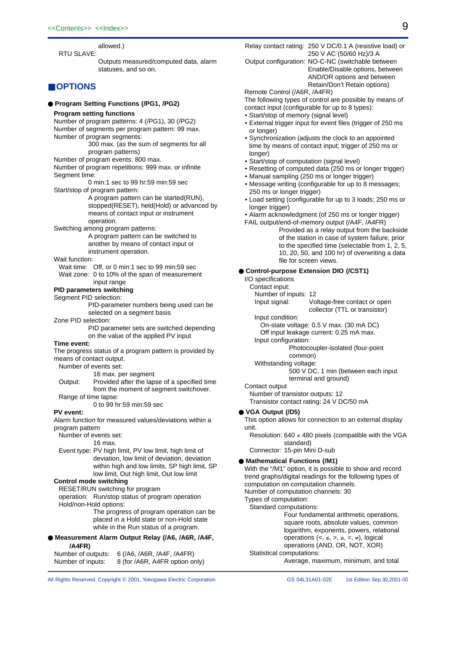allowed.)

RTU SLAVE: Outputs measured/computed data, alarm statuses, and so on.

# ■ **OPTIONS**

#### ● **Program Setting Functions (/PG1, /PG2)**

#### **Program setting functions**

Number of program patterns: 4 (/PG1), 30 (/PG2)

Number of segments per program pattern: 99 max. Number of program segments:

300 max. (as the sum of segments for all program patterns)

#### Number of program events: 800 max.

Number of program repetitions: 999 max. or infinite Segment time:

0 min:1 sec to 99 hr:59 min:59 sec Start/stop of program pattern:

> A program pattern can be started(RUN), stopped(RESET), held(Hold) or advanced by means of contact input or instrument operation.

Switching among program patterns:

A program pattern can be switched to another by means of contact input or instrument operation.

### Wait function:

Wait time: Off, or 0 min:1 sec to 99 min:59 sec Wait zone: 0 to 10% of the span of measurement input range

# **PID parameters switching**

Segment PID selection:

PID-parameter numbers being used can be selected on a segment basis

Zone PID selection:

PID parameter sets are switched depending on the value of the applied PV input

#### **Time event:**

The progress status of a program pattern is provided by means of contact output.

Number of events set:

#### 16 max. per segment

Output: Provided after the lapse of a specified time from the moment of segment switchover. Range of time lapse:

0 to 99 hr:59 min:59 sec

#### **PV event:**

Alarm function for measured values/deviations within a program pattern

Number of events set:

### 16 max.

Event type: PV high limit, PV low limit, high limit of deviation, low limit of deviation, deviation within high and low limits, SP high limit, SP low limit, Out high limit, Out low limit

#### **Control mode switching**

RESET/RUN switching for program

operation: Run/stop status of program operation Hold/non-Hold options:

> The progress of program operation can be placed in a Hold state or non-Hold state while in the Run status of a program.

● **Measurement Alarm Output Relay (/A6, /A6R, /A4F, /A4FR)**

Number of outputs: 6 (/A6, /A6R, /A4F, /A4FR) Number of inputs: 8 (for /A6R, A4FR option only) Relay contact rating: 250 V DC/0.1 A (resistive load) or 250 V AC (50/60 Hz)/3 A

Output configuration: NO-C-NC (switchable between Enable/Disable options, between AND/OR options and between Retain/Don't Retain options)

### Remote Control (/A6R, /A4FR)

The following types of control are possible by means of contact input (configurable for up to 8 types):

- Start/stop of memory (signal level)
- External trigger input for event files (trigger of 250 ms or longer)
- Synchronization (adjusts the clock to an appointed time by means of contact input; trigger of 250 ms or longer)
- Start/stop of computation (signal level)
- Resetting of computed data (250 ms or longer trigger)
- Manual sampling (250 ms or longer trigger) • Message writing (configurable for up to 8 messages; 250 ms or longer trigger)
- Load setting (configurable for up to 3 loads; 250 ms or longer trigger)
- Alarm acknowledgment (of 250 ms or longer trigger)
- FAIL output/end-of-memory output (/A4F, /A4FR)

Provided as a relay output from the backside of the station in case of system failure, prior to the specified time (selectable from 1, 2, 5, 10, 20, 50, and 100 hr) of overwriting a data file for screen views.

### ● **Control-purpose Extension DIO (/CST1)**

I/O specifications

- Contact input:
	- Number of inputs: 12

Input signal: Voltage-free contact or open collector (TTL or transistor)

- Input condition:
	- On-state voltage: 0.5 V max. (30 mA DC)
- Off input leakage current: 0.25 mA max. Input configuration:
	- Photocoupler-isolated (four-point
		- common)
- Withstanding voltage:
	- 500 V DC, 1 min (between each input terminal and ground)

### Contact output

Number of transistor outputs: 12 Transistor contact rating: 24 V DC/50 mA

#### ● **VGA Output (/D5)**

This option allows for connection to an external display unit.

Resolution:  $640 \times 480$  pixels (compatible with the VGA standard)

Connector: 15-pin Mini D-sub

### ● **Mathematical Functions (/M1)**

With the "/M1" option, it is possible to show and record trend graphs/digital readings for the following types of computation on computation channels. Number of computation channels: 30

Types of computation:

Standard computations:

Four fundamental arithmetic operations, square roots, absolute values, common logarithm, exponents, powers, relational operations  $(<, \le, >, \ge, =, \neq)$ , logical operations (AND, OR, NOT, XOR)

- Statistical computations:
	- Average, maximum, minimum, and total

All Rights Reserved. Copyright © 2001, Yokogawa Electric Corporation GS 04L31A01-02E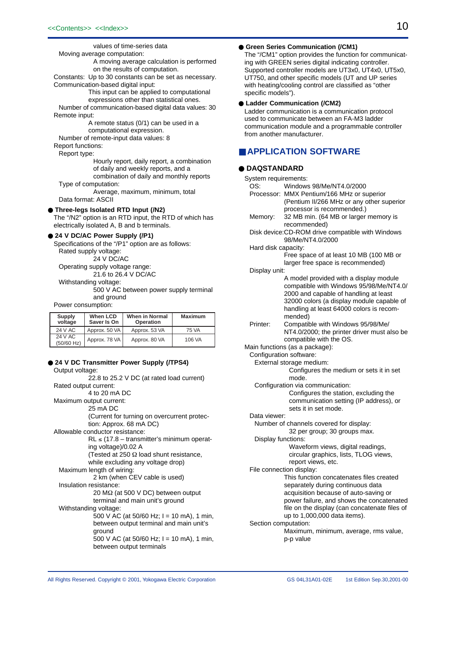values of time-series data

Moving average computation:

A moving average calculation is performed on the results of computation.

Constants: Up to 30 constants can be set as necessary. Communication-based digital input:

> This input can be applied to computational expressions other than statistical ones.

Number of communication-based digital data values: 30 Remote input:

> A remote status (0/1) can be used in a computational expression.

Number of remote-input data values: 8 Report functions:

Report type:

Hourly report, daily report, a combination of daily and weekly reports, and a combination of daily and monthly reports

Type of computation:

Average, maximum, minimum, total Data format: ASCII

● **Three-legs Isolated RTD Input (/N2)**

The "/N2" option is an RTD input, the RTD of which has electrically isolated A, B and b terminals.

#### ● **24 V DC/AC Power Supply (/P1)**

Specifications of the "/P1" option are as follows: Rated supply voltage: 24 V DC/AC Operating supply voltage range:

21.6 to 26.4 V DC/AC

Withstanding voltage:

500 V AC between power supply terminal and ground

Power consumption:

| <b>Supply</b><br>voltage | When LCD<br>Saver Is On | When in Normal<br>Operation | <b>Maximum</b> |
|--------------------------|-------------------------|-----------------------------|----------------|
| 24 V AC                  | Approx. 50 VA           | Approx. 53 VA               | 75 VA          |
| 24 V AC<br>(50/60 Hz)    | Approx. 78 VA           | Approx. 80 VA               | 106 VA         |

# ● 24 V DC Transmitter Power Supply (/TPS4)

Output voltage:

```
22.8 to 25.2 V DC (at rated load current)
Rated output current:
           4 to 20 mA DC
Maximum output current:
           25 mA DC
           (Current for turning on overcurrent protec-
           tion: Approx. 68 mA DC)
Allowable conductor resistance:
           RL ≤ (17.8 – transmitter's minimum operat-
           ing voltage)/0.02 A
           (Tested at 250 Ω load shunt resistance,
           while excluding any voltage drop)
 Maximum length of wiring:
             2 km (when CEV cable is used)
 Insulation resistance:
             20 MΩ (at 500 V DC) between output
             terminal and main unit's ground
 Withstanding voltage:
             500 V AC (at 50/60 Hz; I = 10 mA), 1 min,
             between output terminal and main unit's
             ground
             500 V AC (at 50/60 Hz; I = 10 mA), 1 min,
             between output terminals
```
### ● **Green Series Communication (/CM1)**

The "/CM1" option provides the function for communicating with GREEN series digital indicating controller. Supported controller models are UT3x0, UT4x0, UT5x0, UT750, and other specific models (UT and UP series with heating/cooling control are classified as "other specific models").

### ● **Ladder Communication (/CM2)**

Ladder communication is a communication protocol used to communicate between an FA-M3 ladder communication module and a programmable controller from another manufacturer.

# ■ **APPLICATION SOFTWARE**

### ● **DAQSTANDARD**

System requirements: OS: Windows 98/Me/NT4.0/2000 Processor: MMX Pentium/166 MHz or superior (Pentium II/266 MHz or any other superior processor is recommended.) Memory: 32 MB min. (64 MB or larger memory is recommended) Disk device:CD-ROM drive compatible with Windows 98/Me/NT4.0/2000 Hard disk capacity: Free space of at least 10 MB (100 MB or larger free space is recommended) Display unit: A model provided with a display module compatible with Windows 95/98/Me/NT4.0/ 2000 and capable of handling at least 32000 colors (a display module capable of handling at least 64000 colors is recommended) Printer: Compatible with Windows 95/98/Me/ NT4.0/2000; the printer driver must also be compatible with the OS. Main functions (as a package): Configuration software: External storage medium: Configures the medium or sets it in set mode. Configuration via communication: Configures the station, excluding the communication setting (IP address), or sets it in set mode. Data viewer: Number of channels covered for display: 32 per group; 30 groups max. Display functions: Waveform views, digital readings, circular graphics, lists, TLOG views, report views, etc. File connection display: This function concatenates files created separately during continuous data acquisition because of auto-saving or power failure, and shows the concatenated file on the display (can concatenate files of up to 1,000,000 data items). Section computation: Maximum, minimum, average, rms value, p-p value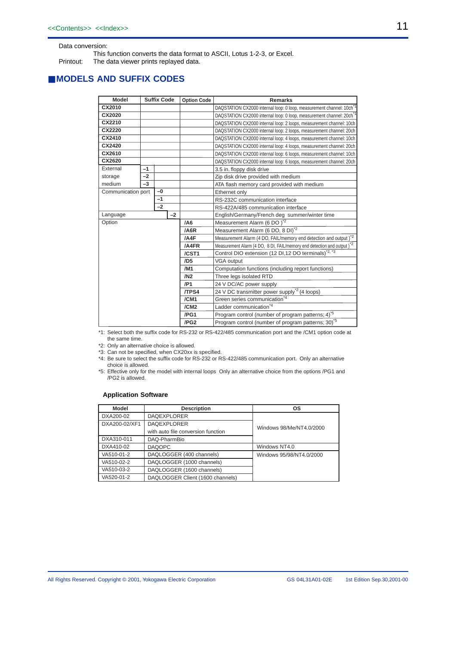Data conversion:

This function converts the data format to ASCII, Lotus 1-2-3, or Excel.

Printout: The data viewer prints replayed data.

# ■ **MODELS AND SUFFIX CODES**

| <b>Model</b>       |      | <b>Suffix Code</b> |                                                                | <b>Option Code</b>                                                              | <b>Remarks</b>                                                                     |  |
|--------------------|------|--------------------|----------------------------------------------------------------|---------------------------------------------------------------------------------|------------------------------------------------------------------------------------|--|
| CX2010             |      |                    |                                                                |                                                                                 | DAQSTATION CX2000 internal loop: 0 loop, measurement channel: 10ch <sup>*</sup>    |  |
| CX2020             |      |                    |                                                                | DAQSTATION CX2000 internal loop: 0 loop, measurement channel: 20ch <sup>*</sup> |                                                                                    |  |
| CX2210             |      |                    |                                                                |                                                                                 | DAQSTATION CX2000 internal loop: 2 loops, measurement channel: 10ch                |  |
| CX2220             |      |                    |                                                                |                                                                                 | DAQSTATION CX2000 internal loop: 2 loops, measurement channel: 20ch                |  |
| CX2410             |      |                    |                                                                |                                                                                 | DAQSTATION CX2000 internal loop: 4 loops, measurement channel: 10ch                |  |
| CX2420             |      |                    |                                                                |                                                                                 | DAQSTATION CX2000 internal loop: 4 loops, measurement channel: 20ch                |  |
| CX2610             |      |                    |                                                                |                                                                                 | DAQSTATION CX2000 internal loop: 6 loops, measurement channel: 10ch                |  |
| CX2620             |      |                    |                                                                |                                                                                 | DAQSTATION CX2000 internal loop: 6 loops, measurement channel: 20ch                |  |
| External           | $-1$ |                    |                                                                |                                                                                 | 3.5 in. floppy disk drive                                                          |  |
| storage            | $-2$ |                    |                                                                |                                                                                 | Zip disk drive provided with medium                                                |  |
| medium             | -3   |                    |                                                                |                                                                                 | ATA flash memory card provided with medium                                         |  |
| Communication port |      | $-0$               |                                                                |                                                                                 | Ethernet only                                                                      |  |
|                    |      | $-1$               |                                                                |                                                                                 | RS-232C communication interface                                                    |  |
|                    |      | $-2$               |                                                                |                                                                                 | RS-422A/485 communication interface                                                |  |
| Language           |      |                    | $-2$                                                           |                                                                                 | English/Germany/French deg summer/winter time                                      |  |
| Option             |      | /A6                | Measurement Alarm (6 DO) <sup>*2</sup>                         |                                                                                 |                                                                                    |  |
|                    |      |                    |                                                                | /A6R                                                                            | Measurement Alarm (6 DO, 8 DI) <sup>*2</sup>                                       |  |
|                    |      |                    |                                                                | /A4F                                                                            | Measurement Alarm (4 DO, FAIL/memory end detection and output) <sup>*2</sup>       |  |
|                    |      |                    |                                                                | /A4FR                                                                           | Measurement Alarm (4 DO, 8 DI, FAIL/memory end detection and output) <sup>*2</sup> |  |
|                    |      |                    |                                                                | /CST1                                                                           | Control DIO extension (12 DI, 12 DO terminals) <sup>*2, *3</sup>                   |  |
|                    |      |                    |                                                                | /DB                                                                             | VGA output                                                                         |  |
|                    |      |                    |                                                                | /M <sub>1</sub>                                                                 | Computation functions (including report functions)                                 |  |
|                    |      |                    |                                                                | /N2                                                                             | Three legs isolated RTD                                                            |  |
|                    |      | /P1                | 24 V DC/AC power supply                                        |                                                                                 |                                                                                    |  |
|                    |      | /TPS4              | 24 V DC transmitter power supply <sup>*2</sup> (4 loops)       |                                                                                 |                                                                                    |  |
|                    |      | /CM1               | Green series communication <sup>*4</sup>                       |                                                                                 |                                                                                    |  |
|                    |      |                    |                                                                | /CM2                                                                            | Ladder communication <sup>*4</sup>                                                 |  |
|                    |      | /PG1               | Program control (number of program patterns; 4) <sup>5</sup>   |                                                                                 |                                                                                    |  |
|                    |      | /PG <sub>2</sub>   | Program control (number of program patterns; 30) <sup>*5</sup> |                                                                                 |                                                                                    |  |

\*1: Select both the suffix code for RS-232 or RS-422/485 communication port and the /CM1 option code at the same time.

\*2: Only an alternative choice is allowed.

\*3: Can not be specified, when CX20xx is specified.

\*4: Be sure to select the suffix code for RS-232 or RS-422/485 communication port. Only an alternative choice is allowed.

\*5: Effective only for the model with internal loops Only an alternative choice from the options /PG1 and /PG2 is allowed.

# **Application Software**

| Model         | <b>Description</b>                 | os                       |
|---------------|------------------------------------|--------------------------|
| DXA200-02     | <b>DAQEXPLORER</b>                 |                          |
| DXA200-02/XF1 | <b>DAQEXPLORER</b>                 | Windows 98/Me/NT4.0/2000 |
|               | with auto file conversion function |                          |
| DXA310-011    | DAQ-PharmBio                       |                          |
| DXA410-02     | <b>DAQOPC</b>                      | Windows NT4.0            |
| VA510-01-2    | DAQLOGGER (400 channels)           | Windows 95/98/NT4.0/2000 |
| VA510-02-2    | DAQLOGGER (1000 channels)          |                          |
| VA510-03-2    | DAQLOGGER (1600 channels)          |                          |
| VA520-01-2    | DAQLOGGER Client (1600 channels)   |                          |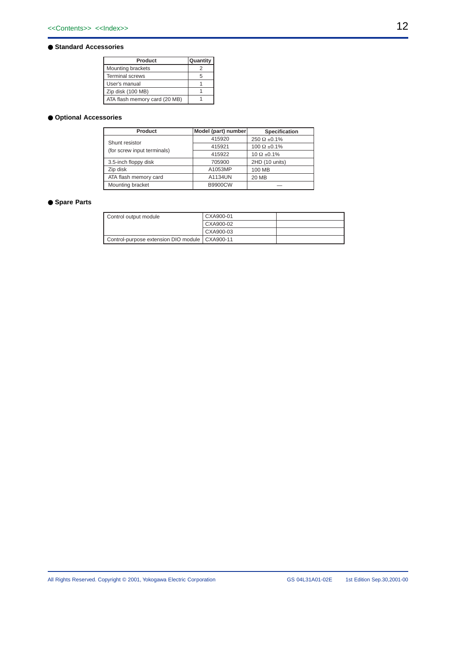### ● **Standard Accessories**

| Product                       | Quantity |
|-------------------------------|----------|
| Mounting brackets             |          |
| <b>Terminal screws</b>        | 5        |
| User's manual                 |          |
| Zip disk (100 MB)             |          |
| ATA flash memory card (20 MB) |          |

# ● **Optional Accessories**

| Product                     | Model (part) number | Specification          |
|-----------------------------|---------------------|------------------------|
| Shunt resistor              | 415920              | $250 \Omega \pm 0.1\%$ |
|                             | 415921              | $100 \Omega \pm 0.1\%$ |
| (for screw input terminals) | 415922              | $10 \Omega \pm 0.1\%$  |
| 3.5-inch floppy disk        | 705900              | 2HD (10 units)         |
| Zip disk                    | A1053MP             | 100 MB                 |
| ATA flash memory card       | A1134UN             | 20 MB                  |
| Mounting bracket            | <b>B9900CW</b>      |                        |

# ● **Spare Parts**

| Control output module                            | CXA900-01 |  |
|--------------------------------------------------|-----------|--|
|                                                  | CXA900-02 |  |
|                                                  | CXA900-03 |  |
| Control-purpose extension DIO module   CXA900-11 |           |  |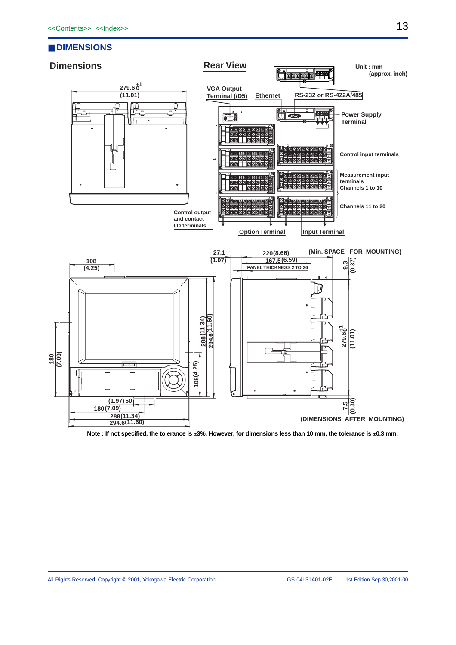# ■ **DIMENSIONS**



**Note : If not specified, the tolerance is** ±**3%. However, for dimensions less than 10 mm, the tolerance is** ±**0.3 mm.**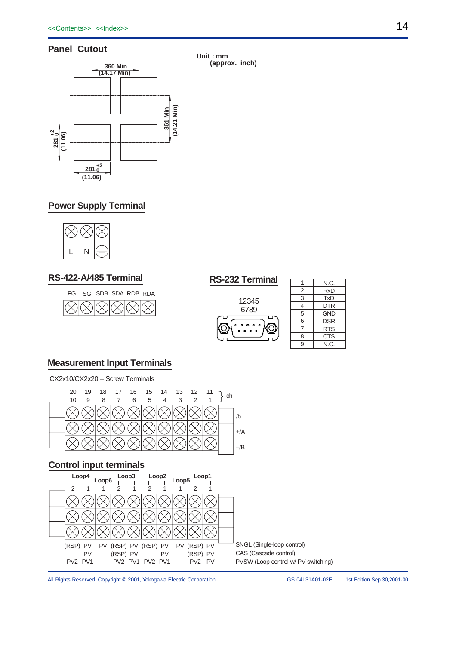# **Panel Cutout**



**Unit : mm (approx. inch)**

# **Power Supply Terminal**



# **RS-422-A/485 Terminal RS-232 Terminal**





|   | N.C.       |
|---|------------|
| 2 | <b>RxD</b> |
| 3 | <b>TxD</b> |
| 4 | DTR        |
| 5 | <b>GND</b> |
| 6 | <b>DSR</b> |
| 7 | <b>RTS</b> |
| 8 | <b>CTS</b> |
| 9 | N.C.       |

# **Measurement Input Terminals**

CX2x10/CX2x20 – Screw Terminals



# **Control input terminals**



All Rights Reserved. Copyright © 2001, Yokogawa Electric Corporation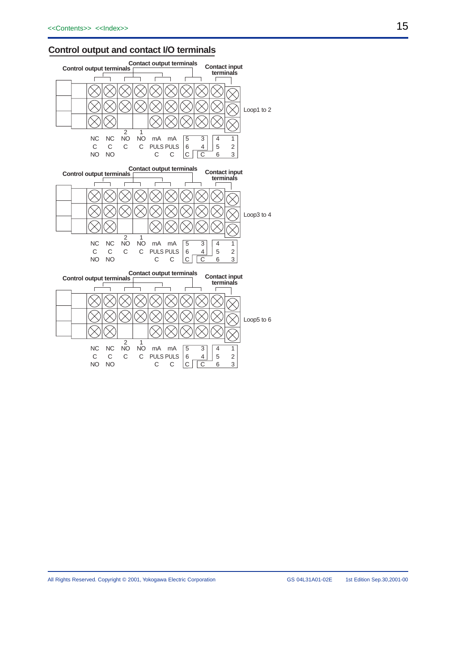# **Control output and contact I/O terminals**